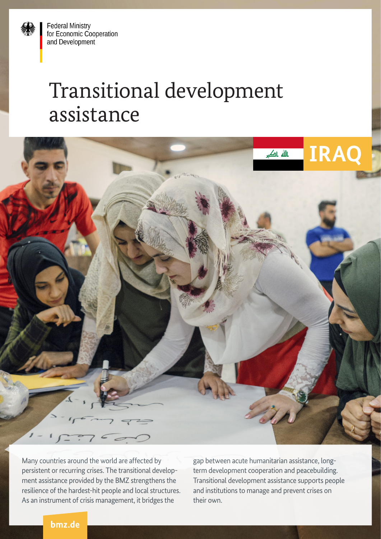**Federal Ministry** for Economic Cooperation and Development

## Transitional development assistance



Many countries around the world are affected by persistent or recurring crises. The transitional development assistance provided by the BMZ strengthens the resilience of the hardest-hit people and local structures. As an instrument of crisis management, it bridges the

gap between acute humanitarian assistance, longterm development cooperation and peacebuilding. Transitional development assistance supports people and institutions to manage and prevent crises on their own.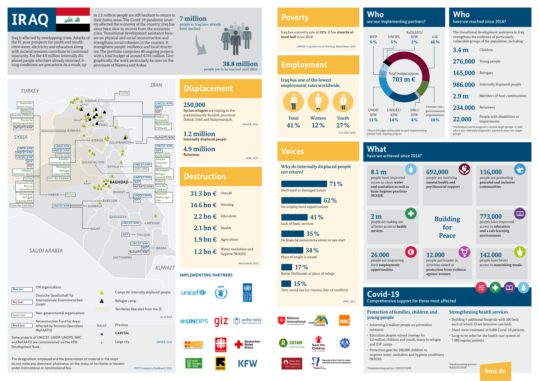ERBIL

Dohuk

 $\lambda$ 

 $M$   $\sqrt{N}$  ossul $\sqrt{N}$  o Erbil

The designations employed and the presentation of material in the maps do not make any statement whatsoever on the status of territories or borders under international or constitutional law. WFP Emergency Dashboard, 2021

**echnisches** Hilfswerk

*TÜRKEI TURKEY*

*SYRIEN SYRIA*

edica mondiale GIZ

*IRAN IRAN*

Deutsche Rotes Kreuz **Maltes Save the Childre** Deutsch Welthungerhilfe ReFAATO/KfW

**SWINEWA** 

**DOHUK** 

Caritas

ReFAATO/KfW

UNICEF/KfW WFP

**Why do internally displaced people** 

**not return?**

HNO, 2021



**Iraq has one of the lowest employment rates worldwide.**

ILO 2019, 2020

#### **250,000 Syrian refugees** are staying in the

nting partn ReFAATO/KfW

predominantly Kurdish provinces Dahuk, Erbil and Sulaymaniyah.

UNHCR, 2019

**1.2 million** 

**Internally displaced people**

**4.9 million Returnees**

IOM, 2021

| 31.3 bn $\epsilon$ Overall |                                         |
|----------------------------|-----------------------------------------|
| 14.6 bn €                  | Housing                                 |
| $2.2$ bn $\epsilon$        | Education                               |
| $2.1 \text{ bn} \in$       | Health                                  |
| 1.9 bn €                   | Agriculture                             |
| 1.2 bn €                   | Water, sanitation and<br>hygiene (WASH) |
|                            |                                         |

World Bank, 2018

Ø  $\frac{U|N}{D|P}$ 



**KFW** 

**R** OXFAM

Save the Children



























| <b>Malteser</b><br><b>International</b><br>Order of Malta Worldwide Relief | medica<br>mondiale |
|----------------------------------------------------------------------------|--------------------|
|                                                                            |                    |



Iraq has a poverty rate of **32%**. It has **risen by almost half** since 2018.

UNICEF, Iraqi Ministry of Planning, World Bank, 2020

The transitional development assistance in Iraq strengthens the resilience of particularly vulnerable groups of the population, including:

\*Individuals can be assigned to several target groups: A child who is also internally displaced is named in these two target groups.

#### **Who** have we reached since 2016?

#### **Who** are our implementing partners?

#### **Protection of families, children and young people**

- Informing 3 million people on preventive measures
- Education despite school closings for 1.2 million children and youth, many in refugee and IDP camps
- Protection gear for 300,000 children to improve water, sanitation and hygiene conditions (WASH)

\*Implementing partner: UNICEF/KfW

#### ERBIL **IMPLEMENTING PARTNERS**

unicef

- Building 5 additional hospitals with 100 beds each of which 52 are intensive care beds
- Short-term treatment of 9,000 Covid-19 patients
- Long-term relief for the health care system of 7,000 regular patients

bmz.de

KIRKUK SULAYMANIYAH UNDP/KfW UNICEF/KfW UNDP/KfW UNICEF/KfW WFP UNICEF/KfW  $\mathbf{Z}$ arche noV arche noVa UNOPS/KfW Arbeite **rheiter-**WFP SALAH AL-DIN nariter-Bun amariter-UNICEF/KfW GIZ DIYALA . Bund **Norwegi** arche noVa Refuge Arbeite orwegian riter-Bun Council/KfW fugee  $\blacktriangle$ **uncil/KfW** UNICEF/KfW Carita terre des homme **AM**BAGHDAD WFP  $x$ fam  $Internation$ Ramadi Rescu ReFAATO/KfW ave the AX Committe hildren WASSIT -**Norwegia** eutsche ANBAR • Oxfam UNICEF/KfW **Velthunge** Refugee WFP Council/KfW BABYLON hilfe terre des homme UNICEF/KfW KERBALA Δ QADISSIYA UNICEF/KfW - MISSAN NAJAF <mark>WFP</mark> → THI QAR UNICEF/KfW BASRA **WFP** *SAUDI ARABIEN SAUDI ARABIA* ReFAATO/KfW MUTHANNA *KUWAIT KUWAIT* UN organisations **Blue text** *SYRIEN* Camps for internally displaced people Deutsche Gesellschaft für Internationale Zusammenarbeit Refugee camp Red text GmbH Territories liberated from the IS Non-governmental organisations Green text As of 2019 **SALAH AL-DIN** Reconstruction Fund for Areas **Black text** Province NAJAF Affected by Terrorist Operations (ReFAATO) **CAPITAL**  $\bullet$ Some projects of UNICEF, UNDP, UNOPS, NRC and ReFAATO are commissioned via the KfW Large city UNHCR, 2020 Ramadi Development Bank.

| 3.4 <sub>m</sub> | Children                                   |
|------------------|--------------------------------------------|
| 276,000          | Young people                               |
| 165,000          | Refugees                                   |
| 986.000          | Internally displaced people                |
| 2.9 <sub>m</sub> | Members of host communities                |
| <b>234.000</b>   | Returnees                                  |
| 22.000           | People with disabilities or<br>impairments |



#### **What** have we achieved since 2016?

**Voices**

## **Poverty**

### **Employment**

#### **Displacement**

#### **Destruction**

**Covid-19**

**8.1 m** 

people have improved **and sanitation as well as** 

access to clean **water basic hygiene practices (WASH)**.

**2 m** people are making use **services**.

of better access to **health** 

**26.000**

people are improving their **employment opportunities**.

| <b>Total</b> | Women | Youth |
|--------------|-------|-------|
| 41%          | 12%   | 27%   |

# \*Share of budget attributable to each implementing

partner with ongoing projects

Iraq is affected by overlapping crises. Attacks of the IS, poor prospects for youth and insufficient water, electricity and education along with societal tensions contribute to continued insecurity. For the 4.9 million internally displaced people who have already returned, living conditions are precarious. As a result, up

to 1.2 million people are still hesitant to return to their home areas. The Covid-19 pandemic severely affected the economy of the country. Iraq has since been slow to recover from the economic crisis. Transitional development assistance focuses on physical and social reconstruction and strengthens social cohesion in the country. It strengthens people' resilience and local structures. The portfolio comprises 40 ongoing projects with a total budget of around €703 million. Geographically, the work particularly focuses on the provinces of Ninewa and Anbar. **38.8 million**

people are to be reached until 2024.













er i de

 $\sum_{m=1}^{\infty}$ 

**Deutsches** Rotes Krouz



# WFP





UNDP/ KfW **11%** UNICEF/ KfW **14% 703 m €**

Destroyed or damaged house

No employment opportunities

Lack of basic services

No financial resources for return or new start

Place of origin is unsafe

Better lifelihoods at place of refuge

Torn social ties (i.e. trauma, fear of conflicts)

**41%**

**71%**

**62%**

**35%**

**34%**

**17%**

**15%**